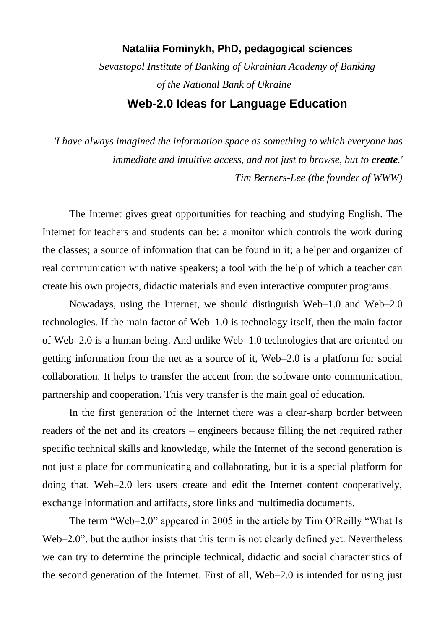## **Nataliia Fominykh, PhD, pedagogical sciences**  *Sevastopol Institute of Banking of Ukrainian Academy of Banking of the National Bank of Ukraine* **Web-2.0 Ideas for Language Education**

*'I have always imagined the information space as something to which everyone has immediate and intuitive access, and not just to browse, but to <i>create*.' *Tim Berners-Lee (the founder of WWW)*

The Internet gives great opportunities for teaching and studying English. The Internet for teachers and students can be: a monitor which controls the work during the classes; a source of information that can be found in it; a helper and organizer of real communication with native speakers; a tool with the help of which a teacher can create his own projects, didactic materials and even interactive computer programs.

Nowadays, using the Internet, we should distinguish Web–1.0 and Web–2.0 technologies. If the main factor of Web–1.0 is technology itself, then the main factor of Web–2.0 is a human-being. And unlike Web–1.0 technologies that are oriented on getting information from the net as a source of it, Web–2.0 is a platform for social collaboration. It helps to transfer the accent from the software onto communication, partnership and cooperation. This very transfer is the main goal of education.

In the first generation of the Internet there was a clear-sharp border between readers of the net and its creators – engineers because filling the net required rather specific technical skills and knowledge, while the Internet of the second generation is not just a place for communicating and collaborating, but it is a special platform for doing that. Web–2.0 lets users create and edit the Internet content cooperatively, exchange information and artifacts, store links and multimedia documents.

The term "Web–2.0" appeared in 2005 in the article by Tim O'Reilly "What Is Web–2.0", but the author insists that this term is not clearly defined yet. Nevertheless we can try to determine the principle technical, didactic and social characteristics of the second generation of the Internet. First of all, Web–2.0 is intended for using just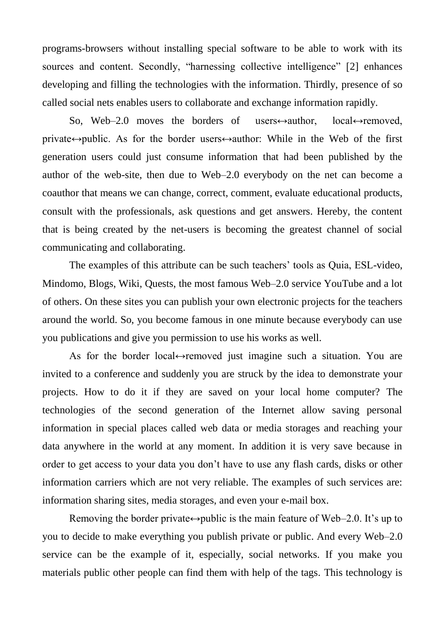programs-browsers without installing special software to be able to work with its sources and content. Secondly, "harnessing collective intelligence" [2] enhances developing and filling the technologies with the information. Thirdly, presence of so called social nets enables users to collaborate and exchange information rapidly.

So, Web–2.0 moves the borders of users $\leftrightarrow$ author, local $\leftrightarrow$ removed, private↔public. As for the border users↔author: While in the Web of the first generation users could just consume information that had been published by the author of the web-site, then due to Web–2.0 everybody on the net can become a coauthor that means we can change, correct, comment, evaluate educational products, consult with the professionals, ask questions and get answers. Hereby, the content that is being created by the net-users is becoming the greatest channel of social communicating and collaborating.

The examples of this attribute can be such teachers' tools as Quia, ESL-video, Mindomo, Blogs, Wiki, Quests, the most famous Web–2.0 service YouTube and a lot of others. On these sites you can publish your own electronic projects for the teachers around the world. So, you become famous in one minute because everybody can use you publications and give you permission to use his works as well.

As for the border local $\leftrightarrow$ removed just imagine such a situation. You are invited to a conference and suddenly you are struck by the idea to demonstrate your projects. How to do it if they are saved on your local home computer? The technologies of the second generation of the Internet allow saving personal information in special places called web data or media storages and reaching your data anywhere in the world at any moment. In addition it is very save because in order to get access to your data you don't have to use any flash cards, disks or other information carriers which are not very reliable. The examples of such services are: information sharing sites, media storages, and even your e-mail box.

Removing the border private $\leftrightarrow$ public is the main feature of Web–2.0. It's up to you to decide to make everything you publish private or public. And every Web–2.0 service can be the example of it, especially, social networks. If you make you materials public other people can find them with help of the tags. This technology is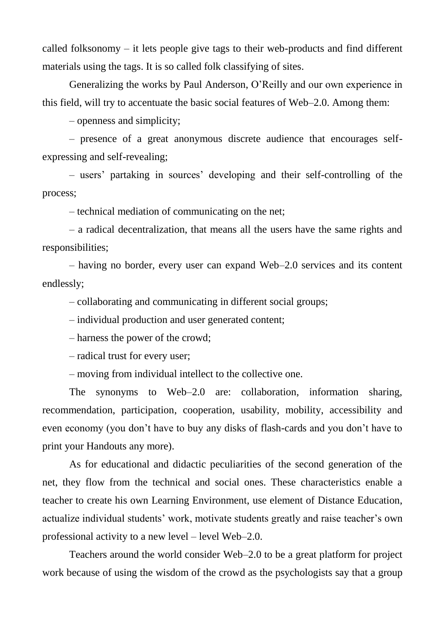called folksonomy – it lets people give tags to their web-products and find different materials using the tags. It is so called folk classifying of sites.

Generalizing the works by Paul Anderson, O'Reilly and our own experience in this field, will try to accentuate the basic social features of Web–2.0. Among them:

– openness and simplicity;

– presence of a great anonymous discrete audience that encourages selfexpressing and self-revealing;

– users' partaking in sources' developing and their self-controlling of the process;

– technical mediation of communicating on the net;

– a radical decentralization, that means all the users have the same rights and responsibilities;

– having no border, every user can expand Web–2.0 services and its content endlessly;

– collaborating and communicating in different social groups;

– individual production and user generated content;

– harness the power of the crowd;

– radical trust for every user;

– moving from individual intellect to the collective one.

The synonyms to Web–2.0 are: collaboration, information sharing, recommendation, participation, cooperation, usability, mobility, accessibility and even economy (you don't have to buy any disks of flash-cards and you don't have to print your Handouts any more).

As for educational and didactic peculiarities of the second generation of the net, they flow from the technical and social ones. These characteristics enable a teacher to create his own Learning Environment, use element of Distance Education, actualize individual students' work, motivate students greatly and raise teacher's own professional activity to a new level – level Web–2.0.

Teachers around the world consider Web–2.0 to be a great platform for project work because of using the wisdom of the crowd as the psychologists say that a group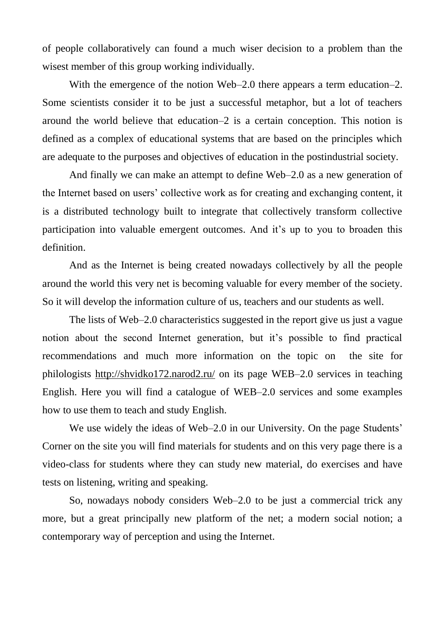of people collaboratively can found a much wiser decision to a problem than the wisest member of this group working individually.

With the emergence of the notion Web–2.0 there appears a term education–2. Some scientists consider it to be just a successful metaphor, but a lot of teachers around the world believe that education–2 is a certain conception. This notion is defined as a complex of educational systems that are based on the principles which are adequate to the purposes and objectives of education in the postindustrial society.

And finally we can make an attempt to define Web–2.0 as a new generation of the Internet based on users' collective work as for creating and exchanging content, it is a distributed technology built to integrate that collectively transform collective participation into valuable emergent outcomes. And it's up to you to broaden this definition.

And as the Internet is being created nowadays collectively by all the people around the world this very net is becoming valuable for every member of the society. So it will develop the information culture of us, teachers and our students as well.

The lists of Web–2.0 characteristics suggested in the report give us just a vague notion about the second Internet generation, but it's possible to find practical recommendations and much more information on the topic on the site for philologists<http://shvidko172.narod2.ru/> on its page WEB–2.0 services in teaching English. Here you will find a catalogue of WEB–2.0 services and some examples how to use them to teach and study English.

We use widely the ideas of Web–2.0 in our University. On the page Students' Corner on the site you will find materials for students and on this very page there is a video-class for students where they can study new material, do exercises and have tests on listening, writing and speaking.

So, nowadays nobody considers Web–2.0 to be just a commercial trick any more, but a great principally new platform of the net; a modern social notion; a contemporary way of perception and using the Internet.